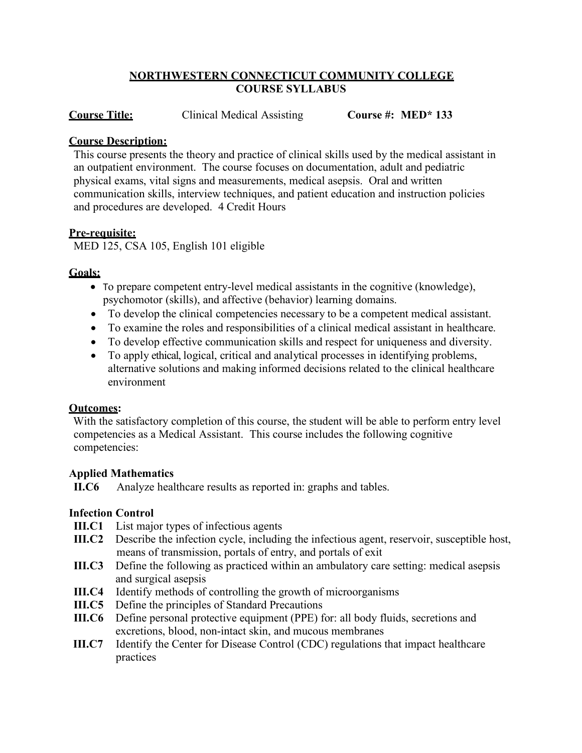### **NORTHWESTERN CONNECTICUT COMMUNITY COLLEGE COURSE SYLLABUS**

**Course Title:** Clinical Medical Assisting **Course #: MED\* 133**

### **Course Description:**

This course presents the theory and practice of clinical skills used by the medical assistant in an outpatient environment. The course focuses on documentation, adult and pediatric physical exams, vital signs and measurements, medical asepsis. Oral and written communication skills, interview techniques, and patient education and instruction policies and procedures are developed. 4 Credit Hours

### **Pre-requisite:**

MED 125, CSA 105, English 101 eligible

## **Goals:**

- To prepare competent entry-level medical assistants in the cognitive (knowledge), psychomotor (skills), and affective (behavior) learning domains.
- To develop the clinical competencies necessary to be a competent medical assistant.
- To examine the roles and responsibilities of a clinical medical assistant in healthcare.
- To develop effective communication skills and respect for uniqueness and diversity.
- To apply ethical, logical, critical and analytical processes in identifying problems, alternative solutions and making informed decisions related to the clinical healthcare environment

### **Outcomes:**

With the satisfactory completion of this course, the student will be able to perform entry level competencies as a Medical Assistant. This course includes the following cognitive competencies:

### **Applied Mathematics**

**II.C6** Analyze healthcare results as reported in: graphs and tables.

# **Infection Control**

- **III.C1** List major types of infectious agents
- **III.C2** Describe the infection cycle, including the infectious agent, reservoir, susceptible host, means of transmission, portals of entry, and portals of exit
- **III.C3** Define the following as practiced within an ambulatory care setting: medical asepsis and surgical asepsis
- **III.C4** Identify methods of controlling the growth of microorganisms
- **III.C5** Define the principles of Standard Precautions
- **III.C6** Define personal protective equipment (PPE) for: all body fluids, secretions and excretions, blood, non-intact skin, and mucous membranes
- **III.C7** Identify the Center for Disease Control (CDC) regulations that impact healthcare practices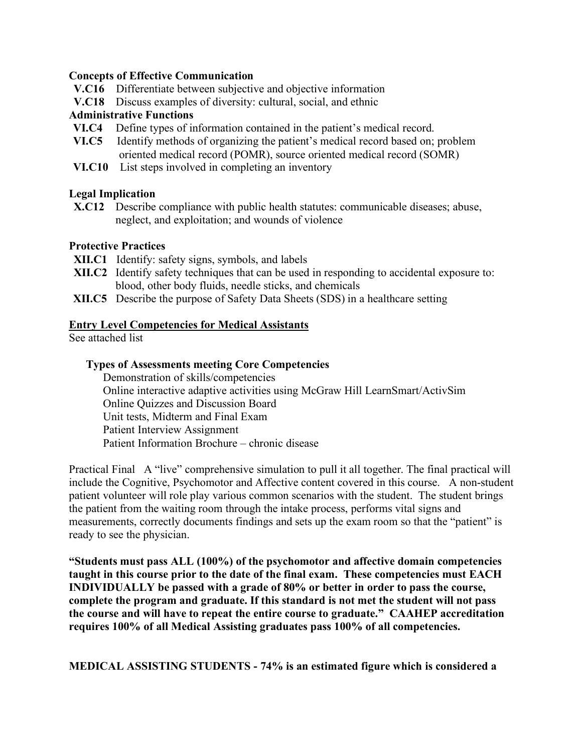#### **Concepts of Effective Communication**

- **V.C16** Differentiate between subjective and objective information
- **V.C18** Discuss examples of diversity: cultural, social, and ethnic

#### **Administrative Functions**

- **VI.C4** Define types of information contained in the patient's medical record.
- **VI.C5** Identify methods of organizing the patient's medical record based on; problem oriented medical record (POMR), source oriented medical record (SOMR)
- **VI.C10** List steps involved in completing an inventory

#### **Legal Implication**

**X.C12** Describe compliance with public health statutes: communicable diseases; abuse, neglect, and exploitation; and wounds of violence

#### **Protective Practices**

- **XII.C1** Identify: safety signs, symbols, and labels
- **XII.C2** Identify safety techniques that can be used in responding to accidental exposure to: blood, other body fluids, needle sticks, and chemicals
- **XII.C5** Describe the purpose of Safety Data Sheets (SDS) in a healthcare setting

#### **Entry Level Competencies for Medical Assistants**

See attached list

#### **Types of Assessments meeting Core Competencies**

Demonstration of skills/competencies Online interactive adaptive activities using McGraw Hill LearnSmart/ActivSim Online Quizzes and Discussion Board Unit tests, Midterm and Final Exam Patient Interview Assignment Patient Information Brochure – chronic disease

Practical Final A "live" comprehensive simulation to pull it all together. The final practical will include the Cognitive, Psychomotor and Affective content covered in this course. A non-student patient volunteer will role play various common scenarios with the student. The student brings the patient from the waiting room through the intake process, performs vital signs and measurements, correctly documents findings and sets up the exam room so that the "patient" is ready to see the physician.

**"Students must pass ALL (100%) of the psychomotor and affective domain competencies taught in this course prior to the date of the final exam. These competencies must EACH INDIVIDUALLY be passed with a grade of 80% or better in order to pass the course, complete the program and graduate. If this standard is not met the student will not pass the course and will have to repeat the entire course to graduate." CAAHEP accreditation requires 100% of all Medical Assisting graduates pass 100% of all competencies.**

**MEDICAL ASSISTING STUDENTS - 74% is an estimated figure which is considered a**